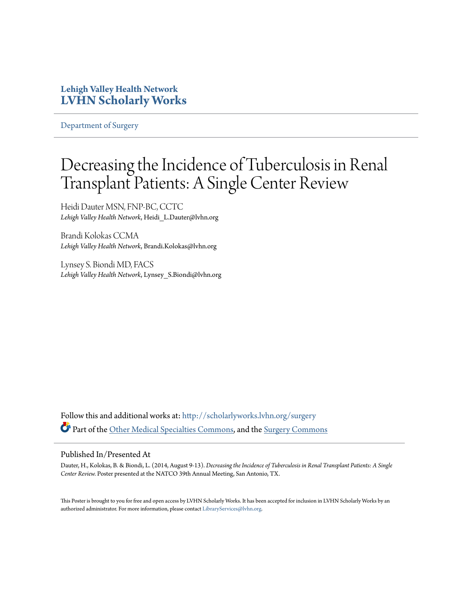### **Lehigh Valley Health Network [LVHN Scholarly Works](http://scholarlyworks.lvhn.org?utm_source=scholarlyworks.lvhn.org%2Fsurgery%2F288&utm_medium=PDF&utm_campaign=PDFCoverPages)**

[Department of Surgery](http://scholarlyworks.lvhn.org/surgery?utm_source=scholarlyworks.lvhn.org%2Fsurgery%2F288&utm_medium=PDF&utm_campaign=PDFCoverPages)

### Decreasing the Incidence of Tuberculosis in Renal Transplant Patients: A Single Center Review

Heidi Dauter MSN, FNP-BC, CCTC *Lehigh Valley Health Network*, Heidi\_L.Dauter@lvhn.org

Brandi Kolokas CCMA *Lehigh Valley Health Network*, Brandi.Kolokas@lvhn.org

Lynsey S. Biondi MD, FACS *Lehigh Valley Health Network*, Lynsey\_S.Biondi@lvhn.org

Follow this and additional works at: [http://scholarlyworks.lvhn.org/surgery](http://scholarlyworks.lvhn.org/surgery?utm_source=scholarlyworks.lvhn.org%2Fsurgery%2F288&utm_medium=PDF&utm_campaign=PDFCoverPages) Part of the [Other Medical Specialties Commons](http://network.bepress.com/hgg/discipline/708?utm_source=scholarlyworks.lvhn.org%2Fsurgery%2F288&utm_medium=PDF&utm_campaign=PDFCoverPages), and the [Surgery Commons](http://network.bepress.com/hgg/discipline/706?utm_source=scholarlyworks.lvhn.org%2Fsurgery%2F288&utm_medium=PDF&utm_campaign=PDFCoverPages)

### Published In/Presented At

Dauter, H., Kolokas, B. & Biondi, L. (2014, August 9-13). *Decreasing the Incidence of Tuberculosis in Renal Transplant Patients: A Single Center Review.* Poster presented at the NATCO 39th Annual Meeting, San Antonio, TX.

This Poster is brought to you for free and open access by LVHN Scholarly Works. It has been accepted for inclusion in LVHN Scholarly Works by an authorized administrator. For more information, please contact [LibraryServices@lvhn.org.](mailto:LibraryServices@lvhn.org)